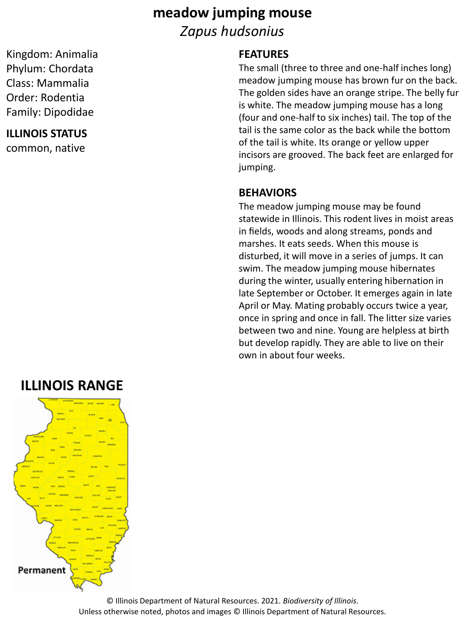# **meadow jumping mouse** *Zapus hudsonius*

Kingdom: Animalia Phylum: Chordata Class: Mammalia Order: Rodentia Family: Dipodidae

#### **ILLINOIS STATUS**

common, native

#### **FEATURES**

The small (three to three and one‐half inches long) meadow jumping mouse has brown fur on the back. The golden sides have an orange stripe. The belly fur is white. The meadow jumping mouse has a long (four and one‐half to six inches) tail. The top of the tail is the same color as the back while the bottom of the tail is white. Its orange or yellow upper incisors are grooved. The back feet are enlarged for jumping.

#### **BEHAVIORS**

The meadow jumping mouse may be found statewide in Illinois. This rodent lives in moist areas in fields, woods and along streams, ponds and marshes. It eats seeds. When this mouse is disturbed, it will move in a series of jumps. It can swim. The meadow jumping mouse hibernates during the winter, usually entering hibernation in late September or October. It emerges again in late April or May. Mating probably occurs twice a year, once in spring and once in fall. The litter size varies between two and nine. Young are helpless at birth but develop rapidly. They are able to live on their own in about four weeks.

## **ILLINOIS RANGE**



© Illinois Department of Natural Resources. 2021. *Biodiversity of Illinois*. Unless otherwise noted, photos and images © Illinois Department of Natural Resources.